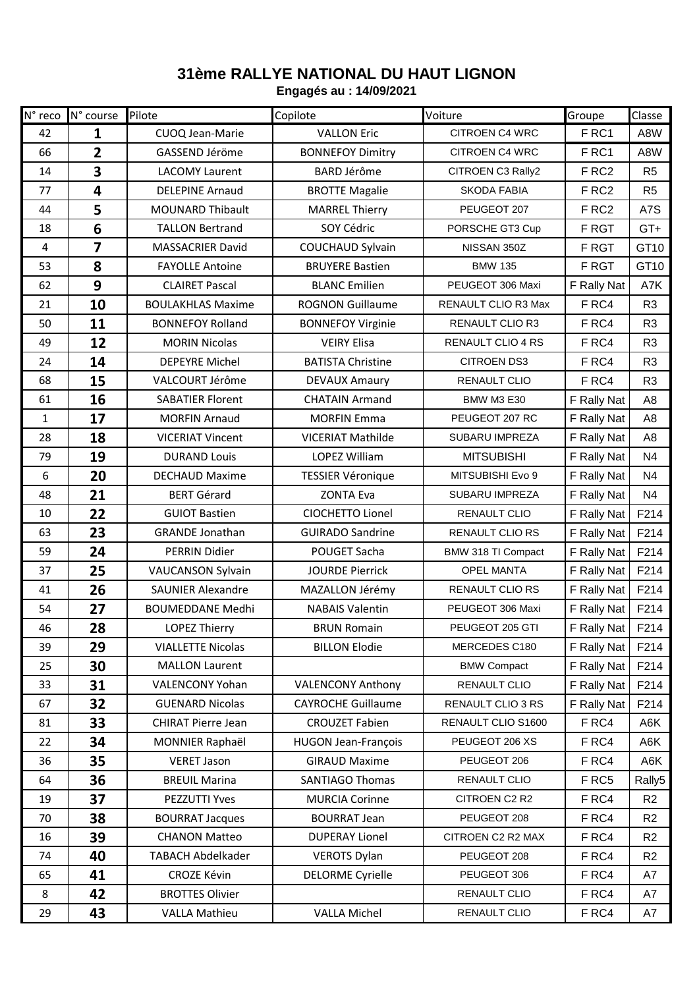## **31ème RALLYE NATIONAL DU HAUT LIGNON**

**Engagés au : 14/09/2021**

| N° reco        | N° course               | Pilote                    | Copilote                   | Voiture                  | Groupe            | Classe         |
|----------------|-------------------------|---------------------------|----------------------------|--------------------------|-------------------|----------------|
| 42             | $\mathbf{1}$            | CUOQ Jean-Marie           | <b>VALLON Eric</b>         | CITROEN C4 WRC           | FRC1              | A8W            |
| 66             | $\overline{2}$          | GASSEND Jéröme            | <b>BONNEFOY Dimitry</b>    | <b>CITROEN C4 WRC</b>    | FRC1              | A8W            |
| 14             | $\overline{\mathbf{3}}$ | <b>LACOMY Laurent</b>     | <b>BARD Jérôme</b>         | CITROEN C3 Rally2        | F RC <sub>2</sub> | R <sub>5</sub> |
| 77             | 4                       | <b>DELEPINE Arnaud</b>    | <b>BROTTE Magalie</b>      | <b>SKODA FABIA</b>       | F RC <sub>2</sub> | R <sub>5</sub> |
| 44             | 5                       | <b>MOUNARD Thibault</b>   | <b>MARREL Thierry</b>      | PEUGEOT 207              | F RC <sub>2</sub> | A7S            |
| 18             | $6\phantom{1}6$         | <b>TALLON Bertrand</b>    | SOY Cédric                 | PORSCHE GT3 Cup          | F RGT             | GT+            |
| $\overline{a}$ | $\overline{\mathbf{z}}$ | <b>MASSACRIER David</b>   | <b>COUCHAUD Sylvain</b>    | NISSAN 350Z              | F RGT             | GT10           |
| 53             | 8                       | <b>FAYOLLE Antoine</b>    | <b>BRUYERE Bastien</b>     | <b>BMW 135</b>           | F RGT             | GT10           |
| 62             | 9                       | <b>CLAIRET Pascal</b>     | <b>BLANC Emilien</b>       | PEUGEOT 306 Maxi         | F Rally Nat       | A7K            |
| 21             | 10                      | <b>BOULAKHLAS Maxime</b>  | <b>ROGNON Guillaume</b>    | RENAULT CLIO R3 Max      | F RC4             | R <sub>3</sub> |
| 50             | 11                      | <b>BONNEFOY Rolland</b>   | <b>BONNEFOY Virginie</b>   | <b>RENAULT CLIO R3</b>   | F RC4             | R <sub>3</sub> |
| 49             | 12                      | <b>MORIN Nicolas</b>      | <b>VEIRY Elisa</b>         | <b>RENAULT CLIO 4 RS</b> | F RC4             | R <sub>3</sub> |
| 24             | 14                      | <b>DEPEYRE Michel</b>     | <b>BATISTA Christine</b>   | <b>CITROEN DS3</b>       | F RC4             | R <sub>3</sub> |
| 68             | 15                      | VALCOURT Jérôme           | <b>DEVAUX Amaury</b>       | RENAULT CLIO             | F RC4             | R <sub>3</sub> |
| 61             | 16                      | <b>SABATIER Florent</b>   | <b>CHATAIN Armand</b>      | <b>BMW M3 E30</b>        | F Rally Nat       | A <sub>8</sub> |
| $\mathbf{1}$   | 17                      | <b>MORFIN Arnaud</b>      | <b>MORFIN Emma</b>         | PEUGEOT 207 RC           | F Rally Nat       | A <sub>8</sub> |
| 28             | 18                      | <b>VICERIAT Vincent</b>   | <b>VICERIAT Mathilde</b>   | <b>SUBARU IMPREZA</b>    | F Rally Nat       | A <sub>8</sub> |
| 79             | 19                      | <b>DURAND Louis</b>       | <b>LOPEZ William</b>       | <b>MITSUBISHI</b>        | F Rally Nat       | N <sub>4</sub> |
| 6              | 20                      | <b>DECHAUD Maxime</b>     | <b>TESSIER Véronique</b>   | MITSUBISHI Evo 9         | F Rally Nat       | N4             |
| 48             | 21                      | <b>BERT Gérard</b>        | <b>ZONTA Eva</b>           | SUBARU IMPREZA           | F Rally Nat       | N <sub>4</sub> |
| 10             | 22                      | <b>GUIOT Bastien</b>      | CIOCHETTO Lionel           | RENAULT CLIO             | F Rally Nat       | F214           |
| 63             | 23                      | <b>GRANDE Jonathan</b>    | <b>GUIRADO Sandrine</b>    | <b>RENAULT CLIO RS</b>   | F Rally Nat       | F214           |
| 59             | 24                      | PERRIN Didier             | POUGET Sacha               | BMW 318 TI Compact       | F Rally Nat       | F214           |
| 37             | 25                      | <b>VAUCANSON Sylvain</b>  | <b>JOURDE Pierrick</b>     | <b>OPEL MANTA</b>        | F Rally Nat       | F214           |
| 41             | 26                      | <b>SAUNIER Alexandre</b>  | MAZALLON Jérémy            | <b>RENAULT CLIO RS</b>   | F Rally Nat       | F214           |
| 54             | 27                      | <b>BOUMEDDANE Medhi</b>   | <b>NABAIS Valentin</b>     | PEUGEOT 306 Maxi         | F Rally Nat       | F214           |
| 46             | 28                      | <b>LOPEZ Thierry</b>      | <b>BRUN Romain</b>         | PEUGEOT 205 GTI          | F Rally Nat       | F214           |
| 39             | 29                      | <b>VIALLETTE Nicolas</b>  | <b>BILLON Elodie</b>       | MERCEDES C180            | F Rally Nat       | F214           |
| 25             | 30                      | <b>MALLON Laurent</b>     |                            | <b>BMW Compact</b>       | F Rally Nat       | F214           |
| 33             | 31                      | VALENCONY Yohan           | <b>VALENCONY Anthony</b>   | RENAULT CLIO             | F Rally Nat       | F214           |
| 67             | 32                      | <b>GUENARD Nicolas</b>    | <b>CAYROCHE Guillaume</b>  | RENAULT CLIO 3 RS        | F Rally Nat       | F214           |
| 81             | 33                      | <b>CHIRAT Pierre Jean</b> | <b>CROUZET Fabien</b>      | RENAULT CLIO S1600       | F RC4             | A6K            |
| 22             | 34                      | MONNIER Raphaël           | <b>HUGON Jean-François</b> | PEUGEOT 206 XS           | F RC4             | A6K            |
| 36             | 35                      | <b>VERET Jason</b>        | <b>GIRAUD Maxime</b>       | PEUGEOT 206              | F RC4             | A6K            |
| 64             | 36                      | <b>BREUIL Marina</b>      | <b>SANTIAGO Thomas</b>     | RENAULT CLIO             | F RC5             | Rally5         |
| 19             | 37                      | PEZZUTTI Yves             | <b>MURCIA Corinne</b>      | CITROEN C2 R2            | F RC4             | R <sub>2</sub> |
| 70             | 38                      | <b>BOURRAT Jacques</b>    | <b>BOURRAT Jean</b>        | PEUGEOT 208              | F RC4             | R <sub>2</sub> |
| 16             | 39                      | <b>CHANON Matteo</b>      | <b>DUPERAY Lionel</b>      | CITROEN C2 R2 MAX        | F RC4             | R <sub>2</sub> |
| 74             | 40                      | <b>TABACH Abdelkader</b>  | <b>VEROTS Dylan</b>        | PEUGEOT 208              | F RC4             | R <sub>2</sub> |
| 65             | 41                      | <b>CROZE Kévin</b>        | <b>DELORME Cyrielle</b>    | PEUGEOT 306              | F RC4             | A7             |
| $\,8\,$        | 42                      | <b>BROTTES Olivier</b>    |                            | RENAULT CLIO             | F RC4             | A7             |
| 29             | 43                      | <b>VALLA Mathieu</b>      | <b>VALLA Michel</b>        | RENAULT CLIO             | F RC4             | A7             |